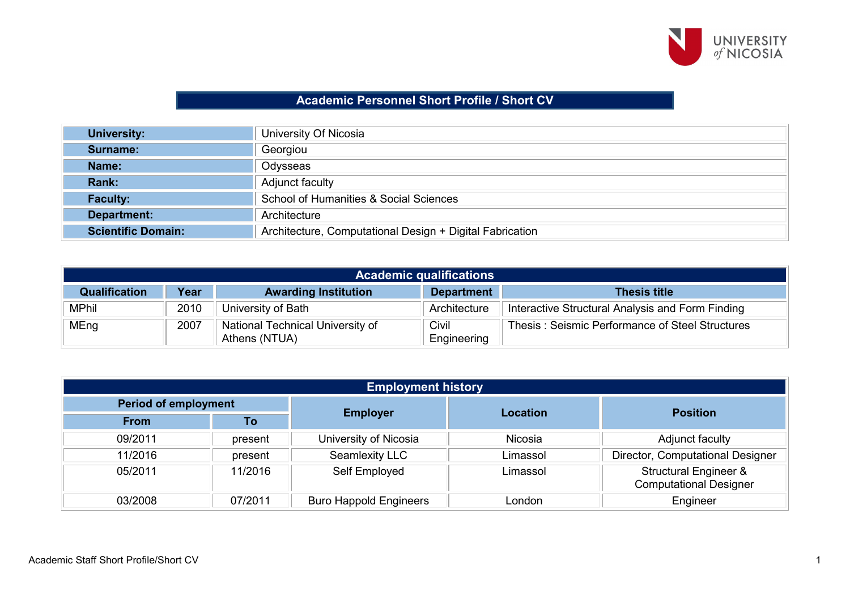

## **Academic Personnel Short Profile / Short CV**

| <b>University:</b>        | University Of Nicosia                                    |
|---------------------------|----------------------------------------------------------|
| Surname:                  | Georgiou                                                 |
| Name:                     | Odysseas                                                 |
| Rank:                     | Adjunct faculty                                          |
| <b>Faculty:</b>           | School of Humanities & Social Sciences                   |
| Department:               | Architecture                                             |
| <b>Scientific Domain:</b> | Architecture, Computational Design + Digital Fabrication |

| <b>Academic qualifications</b> |      |                                                   |                      |                                                  |  |
|--------------------------------|------|---------------------------------------------------|----------------------|--------------------------------------------------|--|
| <b>Qualification</b>           | Year | <b>Awarding Institution</b>                       | <b>Department</b>    | <b>Thesis title</b>                              |  |
| <b>MPhil</b>                   | 2010 | University of Bath                                | Architecture         | Interactive Structural Analysis and Form Finding |  |
| MEng                           | 2007 | National Technical University of<br>Athens (NTUA) | Civil<br>Engineering | Thesis: Seismic Performance of Steel Structures  |  |

| <b>Employment history</b>   |         |                               |          |                                                        |  |
|-----------------------------|---------|-------------------------------|----------|--------------------------------------------------------|--|
| <b>Period of employment</b> |         |                               | Location | <b>Position</b>                                        |  |
| <b>From</b>                 | To      | <b>Employer</b>               |          |                                                        |  |
| 09/2011                     | present | University of Nicosia         | Nicosia  | Adjunct faculty                                        |  |
| 11/2016                     | present | Seamlexity LLC                | Limassol | Director, Computational Designer                       |  |
| 05/2011                     | 11/2016 | Self Employed                 | Limassol | Structural Engineer &<br><b>Computational Designer</b> |  |
| 03/2008                     | 07/2011 | <b>Buro Happold Engineers</b> | London   | Engineer                                               |  |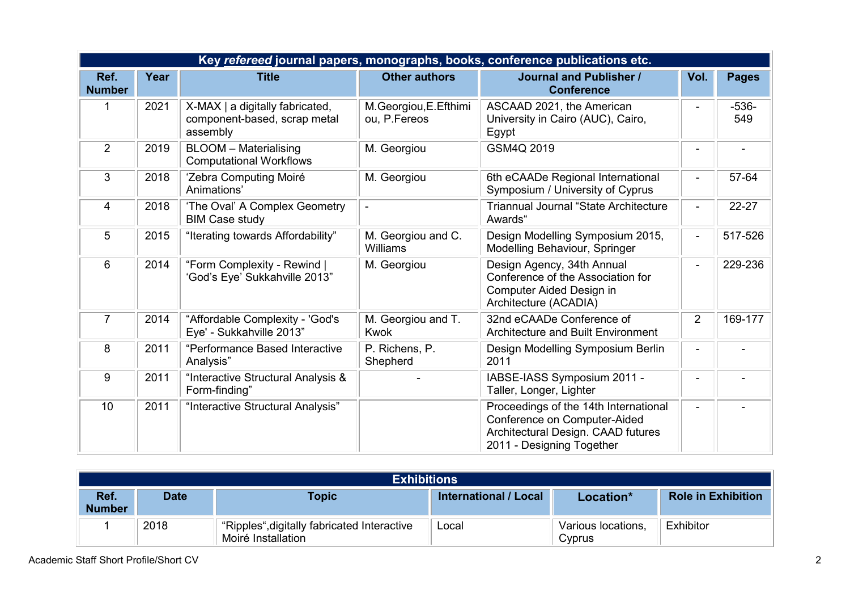| Key refereed journal papers, monographs, books, conference publications etc. |      |                                                                             |                                       |                                                                                                                                          |                |                |  |
|------------------------------------------------------------------------------|------|-----------------------------------------------------------------------------|---------------------------------------|------------------------------------------------------------------------------------------------------------------------------------------|----------------|----------------|--|
| Ref.<br><b>Number</b>                                                        | Year | <b>Title</b>                                                                | <b>Other authors</b>                  | <b>Journal and Publisher /</b><br><b>Conference</b>                                                                                      | Vol.           | <b>Pages</b>   |  |
| 1                                                                            | 2021 | X-MAX   a digitally fabricated,<br>component-based, scrap metal<br>assembly | M.Georgiou, E.Efthimi<br>ou, P.Fereos | ASCAAD 2021, the American<br>University in Cairo (AUC), Cairo,<br>Egypt                                                                  |                | $-536-$<br>549 |  |
| $\overline{2}$                                                               | 2019 | <b>BLOOM</b> - Materialising<br><b>Computational Workflows</b>              | M. Georgiou                           | GSM4Q 2019                                                                                                                               |                |                |  |
| 3                                                                            | 2018 | 'Zebra Computing Moiré<br>Animations'                                       | M. Georgiou                           | 6th eCAADe Regional International<br>Symposium / University of Cyprus                                                                    |                | 57-64          |  |
| $\overline{4}$                                                               | 2018 | 'The Oval' A Complex Geometry<br><b>BIM Case study</b>                      |                                       | <b>Triannual Journal "State Architecture</b><br>Awards"                                                                                  |                | 22-27          |  |
| 5                                                                            | 2015 | "Iterating towards Affordability"                                           | M. Georgiou and C.<br>Williams        | Design Modelling Symposium 2015,<br>Modelling Behaviour, Springer                                                                        | $\blacksquare$ | 517-526        |  |
| 6                                                                            | 2014 | "Form Complexity - Rewind  <br>'God's Eye' Sukkahville 2013"                | M. Georgiou                           | Design Agency, 34th Annual<br>Conference of the Association for<br><b>Computer Aided Design in</b><br>Architecture (ACADIA)              |                | 229-236        |  |
| $\overline{7}$                                                               | 2014 | "Affordable Complexity - 'God's<br>Eye' - Sukkahville 2013"                 | M. Georgiou and T.<br><b>Kwok</b>     | 32nd eCAADe Conference of<br>Architecture and Built Environment                                                                          | $\overline{2}$ | 169-177        |  |
| 8                                                                            | 2011 | "Performance Based Interactive<br>Analysis"                                 | P. Richens, P.<br>Shepherd            | Design Modelling Symposium Berlin<br>2011                                                                                                |                |                |  |
| 9                                                                            | 2011 | "Interactive Structural Analysis &<br>Form-finding"                         |                                       | IABSE-IASS Symposium 2011 -<br>Taller, Longer, Lighter                                                                                   |                |                |  |
| 10                                                                           | 2011 | "Interactive Structural Analysis"                                           |                                       | Proceedings of the 14th International<br>Conference on Computer-Aided<br>Architectural Design. CAAD futures<br>2011 - Designing Together |                |                |  |

| <b>Exhibitions</b>    |             |                                                                   |                       |                              |                           |  |
|-----------------------|-------------|-------------------------------------------------------------------|-----------------------|------------------------------|---------------------------|--|
| Ref.<br><b>Number</b> | <b>Date</b> | Topic                                                             | International / Local | Location*                    | <b>Role in Exhibition</b> |  |
|                       | 2018        | "Ripples", digitally fabricated Interactive<br>Moiré Installation | Local                 | Various locations,<br>Cyprus | Exhibitor                 |  |